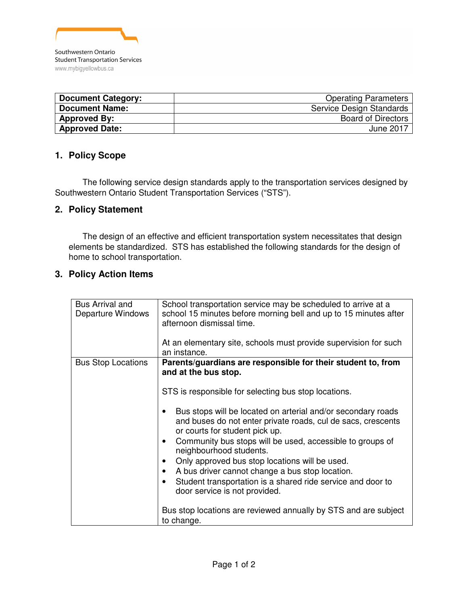

| <b>Document Category:</b> | <b>Operating Parameters</b> |
|---------------------------|-----------------------------|
| <b>Document Name:</b>     | Service Design Standards    |
| <b>Approved By:</b>       | <b>Board of Directors</b>   |
| <b>Approved Date:</b>     | June 2017                   |

## **1. Policy Scope**

The following service design standards apply to the transportation services designed by Southwestern Ontario Student Transportation Services ("STS").

## **2. Policy Statement**

The design of an effective and efficient transportation system necessitates that design elements be standardized. STS has established the following standards for the design of home to school transportation.

## **3. Policy Action Items**

| Bus Arrival and<br>Departure Windows | School transportation service may be scheduled to arrive at a<br>school 15 minutes before morning bell and up to 15 minutes after<br>afternoon dismissal time.<br>At an elementary site, schools must provide supervision for such<br>an instance.                                                                                                                                                                                                                                                                                                                                                                                                                                                                                       |  |
|--------------------------------------|------------------------------------------------------------------------------------------------------------------------------------------------------------------------------------------------------------------------------------------------------------------------------------------------------------------------------------------------------------------------------------------------------------------------------------------------------------------------------------------------------------------------------------------------------------------------------------------------------------------------------------------------------------------------------------------------------------------------------------------|--|
| <b>Bus Stop Locations</b>            | Parents/guardians are responsible for their student to, from<br>and at the bus stop.<br>STS is responsible for selecting bus stop locations.<br>Bus stops will be located on arterial and/or secondary roads<br>and buses do not enter private roads, cul de sacs, crescents<br>or courts for student pick up.<br>Community bus stops will be used, accessible to groups of<br>$\bullet$<br>neighbourhood students.<br>Only approved bus stop locations will be used.<br>$\bullet$<br>A bus driver cannot change a bus stop location.<br>$\bullet$<br>Student transportation is a shared ride service and door to<br>٠<br>door service is not provided.<br>Bus stop locations are reviewed annually by STS and are subject<br>to change. |  |